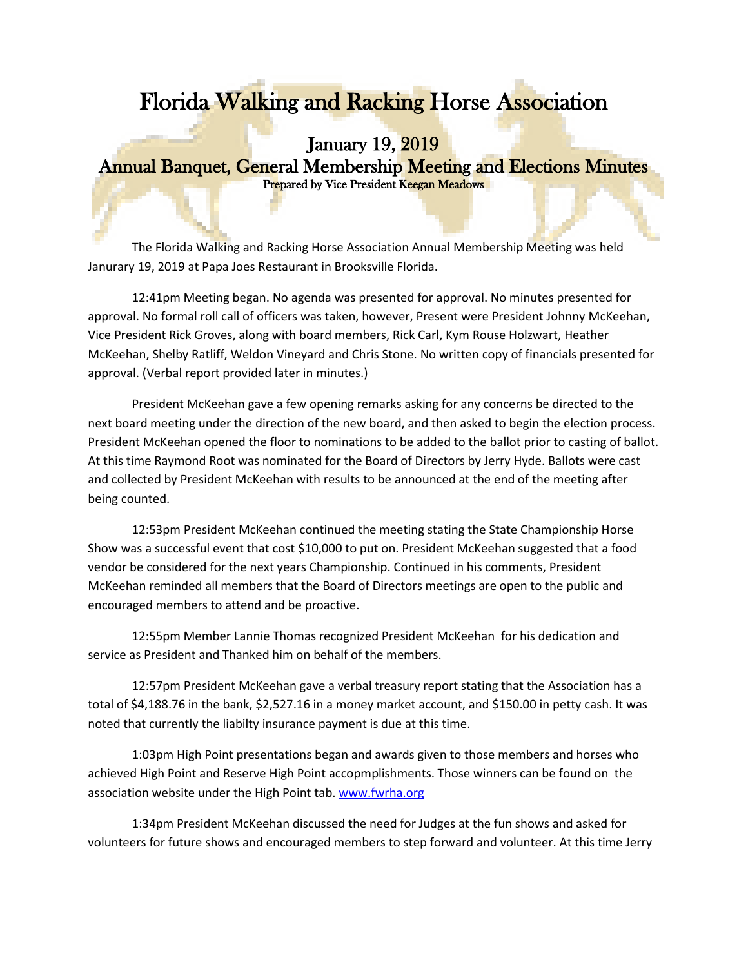## Florida Walking and Racking Horse Association

## January 19, 2019 Annual Banquet, General Membership Meeting and Elections Minutes Prepared by Vice President Keegan Meadows

The Florida Walking and Racking Horse Association Annual Membership Meeting was held Janurary 19, 2019 at Papa Joes Restaurant in Brooksville Florida.

12:41pm Meeting began. No agenda was presented for approval. No minutes presented for approval. No formal roll call of officers was taken, however, Present were President Johnny McKeehan, Vice President Rick Groves, along with board members, Rick Carl, Kym Rouse Holzwart, Heather McKeehan, Shelby Ratliff, Weldon Vineyard and Chris Stone. No written copy of financials presented for approval. (Verbal report provided later in minutes.)

President McKeehan gave a few opening remarks asking for any concerns be directed to the next board meeting under the direction of the new board, and then asked to begin the election process. President McKeehan opened the floor to nominations to be added to the ballot prior to casting of ballot. At this time Raymond Root was nominated for the Board of Directors by Jerry Hyde. Ballots were cast and collected by President McKeehan with results to be announced at the end of the meeting after being counted.

12:53pm President McKeehan continued the meeting stating the State Championship Horse Show was a successful event that cost \$10,000 to put on. President McKeehan suggested that a food vendor be considered for the next years Championship. Continued in his comments, President McKeehan reminded all members that the Board of Directors meetings are open to the public and encouraged members to attend and be proactive.

12:55pm Member Lannie Thomas recognized President McKeehan for his dedication and service as President and Thanked him on behalf of the members.

12:57pm President McKeehan gave a verbal treasury report stating that the Association has a total of \$4,188.76 in the bank, \$2,527.16 in a money market account, and \$150.00 in petty cash. It was noted that currently the liabilty insurance payment is due at this time.

1:03pm High Point presentations began and awards given to those members and horses who achieved High Point and Reserve High Point accopmplishments. Those winners can be found on the association website under the High Point tab. [www.fwrha.org](http://www.fwrha.org/)

1:34pm President McKeehan discussed the need for Judges at the fun shows and asked for volunteers for future shows and encouraged members to step forward and volunteer. At this time Jerry